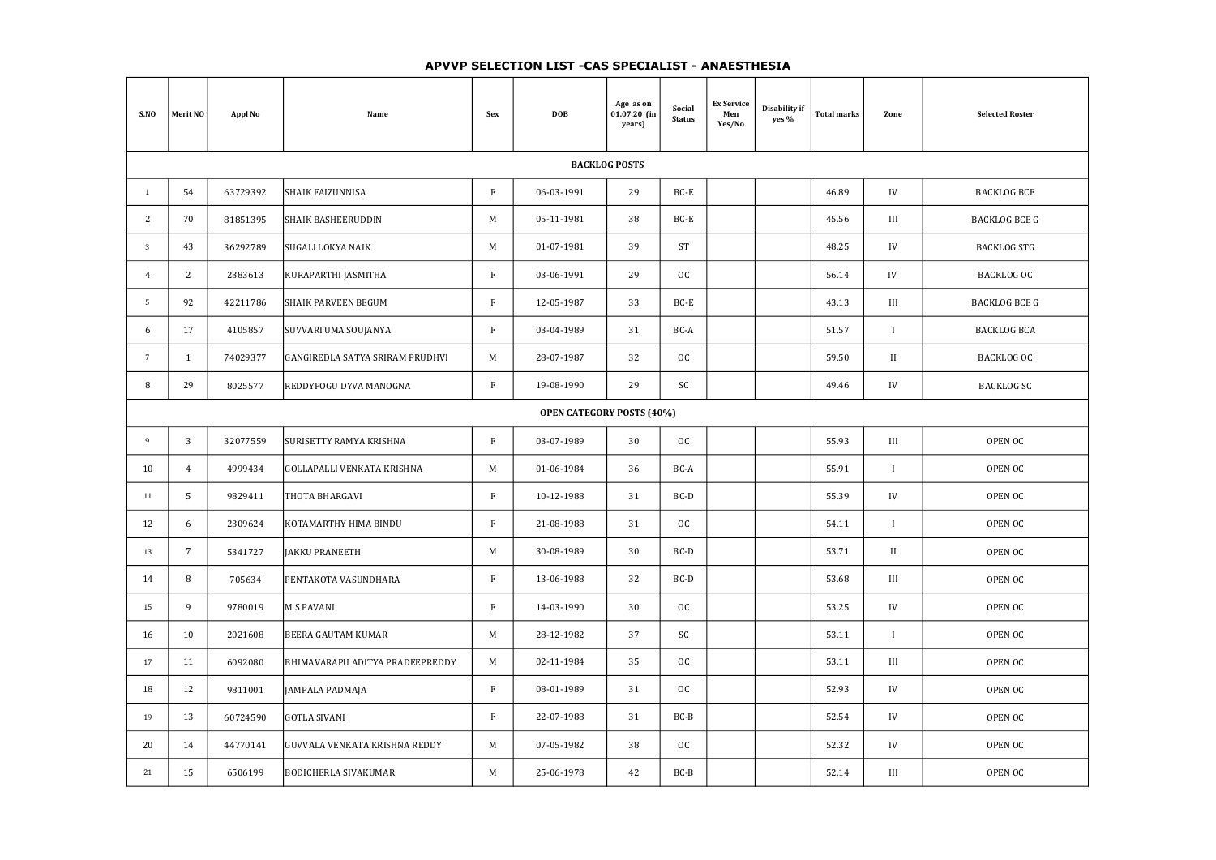# Selected Roster

| S.NO        | <b>Merit NO</b> | Appl No  | Name                                 | Sex          | <b>DOB</b>                       | Age as on<br>01.07.20 (in<br>years) | Social<br><b>Status</b> | <b>Ex Service</b><br>Men<br>Yes/No | Disability if<br>yes % | <b>Total marks</b> | Zone          | <b>Selected Roster</b> |
|-------------|-----------------|----------|--------------------------------------|--------------|----------------------------------|-------------------------------------|-------------------------|------------------------------------|------------------------|--------------------|---------------|------------------------|
|             |                 |          |                                      |              |                                  | <b>BACKLOG POSTS</b>                |                         |                                    |                        |                    |               |                        |
| 1           | 54              | 63729392 | <b>SHAIK FAIZUNNISA</b>              | F            | 06-03-1991                       | 29                                  | $BC-E$                  |                                    |                        | 46.89              | IV            | <b>BACKLOG BCE</b>     |
| 2           | 70              | 81851395 | <b>SHAIK BASHEERUDDIN</b>            | M            | 05-11-1981                       | 38                                  | $BC-E$                  |                                    |                        | 45.56              | $\rm III$     | <b>BACKLOG BCE G</b>   |
| 3           | 43              | 36292789 | <b>SUGALI LOKYA NAIK</b>             | M            | 01-07-1981                       | 39                                  | <b>ST</b>               |                                    |                        | 48.25              | IV            | <b>BACKLOG STG</b>     |
| 4           | 2               | 2383613  | KURAPARTHI JASMITHA                  | $\mathbf F$  | 03-06-1991                       | 29                                  | OC                      |                                    |                        | 56.14              | IV            | <b>BACKLOG OC</b>      |
| 5           | 92              | 42211786 | <b>SHAIK PARVEEN BEGUM</b>           | $\mathbf{F}$ | 12-05-1987                       | 33                                  | $BC-E$                  |                                    |                        | 43.13              | III           | <b>BACKLOG BCE G</b>   |
| 6           | 17              | 4105857  | SUVVARI UMA SOUJANYA                 | $\mathbf{F}$ | 03-04-1989                       | 31                                  | $BC-A$                  |                                    |                        | 51.57              | $\mathbf{I}$  | <b>BACKLOG BCA</b>     |
| $7^{\circ}$ | 1               | 74029377 | GANGIREDLA SATYA SRIRAM PRUDHVI      | M            | 28-07-1987                       | 32                                  | OC                      |                                    |                        | 59.50              | $\rm II$      | <b>BACKLOG OC</b>      |
| 8           | 29              | 8025577  | <b>REDDYPOGU DYVA MANOGNA</b>        | $\mathbf F$  | 19-08-1990                       | 29                                  | $\mathsf{SC}$           |                                    |                        | 49.46              | IV            | <b>BACKLOG SC</b>      |
|             |                 |          |                                      |              | <b>OPEN CATEGORY POSTS (40%)</b> |                                     |                         |                                    |                        |                    |               |                        |
| 9           | 3               | 32077559 | SURISETTY RAMYA KRISHNA              | $\mathbf F$  | 03-07-1989                       | 30                                  | OC                      |                                    |                        | 55.93              | III           | OPEN OC                |
| 10          | 4               | 4999434  | GOLLAPALLI VENKATA KRISHNA           | M            | 01-06-1984                       | 36                                  | $BC-A$                  |                                    |                        | 55.91              | $\mathbf{I}$  | OPEN OC                |
| 11          | 5               | 9829411  | THOTA BHARGAVI                       | $\mathbf{F}$ | 10-12-1988                       | 31                                  | $BC-D$                  |                                    |                        | 55.39              | IV            | OPEN OC                |
| 12          | 6               | 2309624  | KOTAMARTHY HIMA BINDU                | F            | 21-08-1988                       | 31                                  | OC                      |                                    |                        | 54.11              | $\mathbf{I}$  | OPEN OC                |
| 13          | $\overline{7}$  | 5341727  | JAKKU PRANEETH                       | M            | 30-08-1989                       | 30                                  | $BC-D$                  |                                    |                        | 53.71              | $\mathbf{II}$ | OPEN OC                |
| 14          | 8               | 705634   | PENTAKOTA VASUNDHARA                 | $\mathbf{F}$ | 13-06-1988                       | 32                                  | BC-D                    |                                    |                        | 53.68              | III           | OPEN OC                |
| 15          | 9               | 9780019  | <b>M S PAVANI</b>                    | $\mathbf F$  | 14-03-1990                       | 30                                  | OC                      |                                    |                        | 53.25              | IV            | OPEN OC                |
| 16          | 10              | 2021608  | <b>BEERA GAUTAM KUMAR</b>            | M            | 28-12-1982                       | 37                                  | SC                      |                                    |                        | 53.11              | $\mathbf{I}$  | OPEN OC                |
| 17          | 11              | 6092080  | BHIMAVARAPU ADITYA PRADEEPREDDY      | M            | 02-11-1984                       | 35                                  | OC                      |                                    |                        | 53.11              | III           | OPEN OC                |
| 18          | 12              | 9811001  | JAMPALA PADMAJA                      | $\mathbf{F}$ | 08-01-1989                       | 31                                  | OC                      |                                    |                        | 52.93              | IV            | OPEN OC                |
| 19          | 13              | 60724590 | <b>GOTLA SIVANI</b>                  | $\mathbf{F}$ | 22-07-1988                       | 31                                  | $BC-B$                  |                                    |                        | 52.54              | IV            | OPEN OC                |
| 20          | 14              | 44770141 | <b>GUVVALA VENKATA KRISHNA REDDY</b> | M            | 07-05-1982                       | 38                                  | OC                      |                                    |                        | 52.32              | IV            | OPEN OC                |
| 21          | 15              | 6506199  | <b>BODICHERLA SIVAKUMAR</b>          | M            | 25-06-1978                       | 42                                  | $BC-B$                  |                                    |                        | 52.14              | III           | OPEN OC                |
|             |                 |          |                                      |              |                                  |                                     |                         |                                    |                        |                    |               |                        |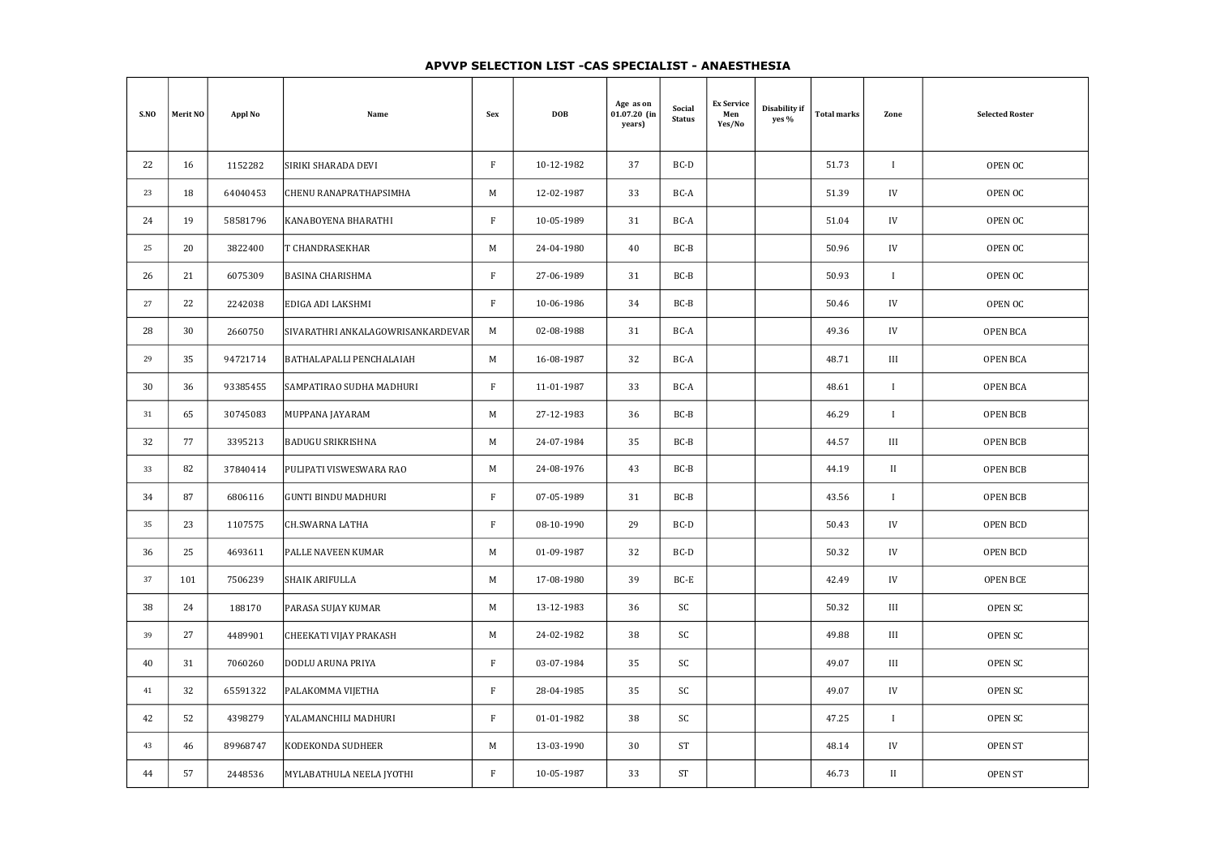| S.NO | <b>Merit NO</b> | Appl No  | Name                              | <b>Sex</b>  | <b>DOB</b> | Age as on<br>01.07.20 (in<br>years) | Social<br><b>Status</b> | <b>Ex Service</b><br>Men<br>Yes/No | Disability if<br>yes % | <b>Total marks</b> | Zone         | <b>Selected Roster</b> |
|------|-----------------|----------|-----------------------------------|-------------|------------|-------------------------------------|-------------------------|------------------------------------|------------------------|--------------------|--------------|------------------------|
| 22   | 16              | 1152282  | SIRIKI SHARADA DEVI               | F           | 10-12-1982 | 37                                  | BC-D                    |                                    |                        | 51.73              | $\mathbf{I}$ | OPEN OC                |
| 23   | 18              | 64040453 | CHENU RANAPRATHAPSIMHA            | M           | 12-02-1987 | 33                                  | BC-A                    |                                    |                        | 51.39              | IV           | OPEN OC                |
| 24   | 19              | 58581796 | KANABOYENA BHARATHI               | $\rm F$     | 10-05-1989 | 31                                  | BC-A                    |                                    |                        | 51.04              | IV           | OPEN OC                |
| 25   | 20              | 3822400  | T CHANDRASEKHAR                   | M           | 24-04-1980 | 40                                  | $BC-B$                  |                                    |                        | 50.96              | IV           | OPEN OC                |
| 26   | 21              | 6075309  | <b>BASINA CHARISHMA</b>           | $\rm F$     | 27-06-1989 | 31                                  | $BC-B$                  |                                    |                        | 50.93              | $\mathbf{I}$ | OPEN OC                |
| 27   | 22              | 2242038  | EDIGA ADI LAKSHMI                 | $\mathbf F$ | 10-06-1986 | 34                                  | BC-B                    |                                    |                        | 50.46              | IV           | OPEN OC                |
| 28   | 30              | 2660750  | SIVARATHRI ANKALAGOWRISANKARDEVAR | M           | 02-08-1988 | 31                                  | BC-A                    |                                    |                        | 49.36              | IV           | <b>OPEN BCA</b>        |
| 29   | 35              | 94721714 | BATHALAPALLI PENCHALAIAH          | M           | 16-08-1987 | 32                                  | BC-A                    |                                    |                        | 48.71              | III          | <b>OPEN BCA</b>        |
| 30   | 36              | 93385455 | SAMPATIRAO SUDHA MADHURI          | F           | 11-01-1987 | 33                                  | BC-A                    |                                    |                        | 48.61              | I            | <b>OPEN BCA</b>        |
| 31   | 65              | 30745083 | MUPPANA JAYARAM                   | M           | 27-12-1983 | 36                                  | BC-B                    |                                    |                        | 46.29              | $\mathbf{I}$ | <b>OPEN BCB</b>        |
| 32   | 77              | 3395213  | <b>BADUGU SRIKRISHNA</b>          | M           | 24-07-1984 | 35                                  | $BC-B$                  |                                    |                        | 44.57              | III          | <b>OPEN BCB</b>        |
| 33   | 82              | 37840414 | PULIPATI VISWESWARA RAO           | M           | 24-08-1976 | 43                                  | BC-B                    |                                    |                        | 44.19              | $\mathbf{I}$ | <b>OPEN BCB</b>        |
| 34   | 87              | 6806116  | <b>GUNTI BINDU MADHURI</b>        | $\mathbf F$ | 07-05-1989 | 31                                  | BC-B                    |                                    |                        | 43.56              | $\mathbf{I}$ | <b>OPEN BCB</b>        |
| 35   | 23              | 1107575  | <b>CH.SWARNA LATHA</b>            | F           | 08-10-1990 | 29                                  | BC-D                    |                                    |                        | 50.43              | IV           | OPEN BCD               |
| 36   | 25              | 4693611  | PALLE NAVEEN KUMAR                | M           | 01-09-1987 | 32                                  | BC-D                    |                                    |                        | 50.32              | IV           | OPEN BCD               |
| 37   | 101             | 7506239  | <b>SHAIK ARIFULLA</b>             | M           | 17-08-1980 | 39                                  | BC-E                    |                                    |                        | 42.49              | IV           | OPEN BCE               |
| 38   | 24              | 188170   | PARASA SUJAY KUMAR                | M           | 13-12-1983 | 36                                  | SC                      |                                    |                        | 50.32              | III          | <b>OPEN SC</b>         |
| 39   | 27              | 4489901  | CHEEKATI VIJAY PRAKASH            | M           | 24-02-1982 | 38                                  | SC                      |                                    |                        | 49.88              | III          | OPEN SC                |
| 40   | 31              | 7060260  | DODLU ARUNA PRIYA                 | F           | 03-07-1984 | 35                                  | SC                      |                                    |                        | 49.07              | III          | OPEN SC                |
| 41   | 32              | 65591322 | PALAKOMMA VIJETHA                 | $\rm F$     | 28-04-1985 | 35                                  | SC                      |                                    |                        | 49.07              | IV           | OPEN SC                |
| 42   | 52              | 4398279  | YALAMANCHILI MADHURI              | $\mathbf F$ | 01-01-1982 | 38                                  | SC                      |                                    |                        | 47.25              | $\mathbf{I}$ | OPEN SC                |
| 43   | 46              | 89968747 | KODEKONDA SUDHEER                 | M           | 13-03-1990 | 30                                  | <b>ST</b>               |                                    |                        | 48.14              | IV           | OPEN ST                |
| 44   | 57              | 2448536  | MYLABATHULA NEELA JYOTHI          | F           | 10-05-1987 | 33                                  | <b>ST</b>               |                                    |                        | 46.73              | $\rm II$     | OPEN ST                |

| <b>Selected Roster</b> |
|------------------------|
| OPEN OC                |
| OPEN OC                |
| OPEN OC                |
| OPEN OC                |
| OPEN OC                |
| OPEN OC                |
| <b>OPEN BCA</b>        |
| <b>OPEN BCA</b>        |
| <b>OPEN BCA</b>        |
| <b>OPEN BCB</b>        |
| <b>OPEN BCB</b>        |
| <b>OPEN BCB</b>        |
| <b>OPEN BCB</b>        |
| <b>OPEN BCD</b>        |
| <b>OPEN BCD</b>        |
| <b>OPEN BCE</b>        |
| <b>OPEN SC</b>         |
| <b>OPEN SC</b>         |
| <b>OPEN SC</b>         |
| <b>OPEN SC</b>         |
| <b>OPEN SC</b>         |
| <b>OPEN ST</b>         |
| OPEN ST                |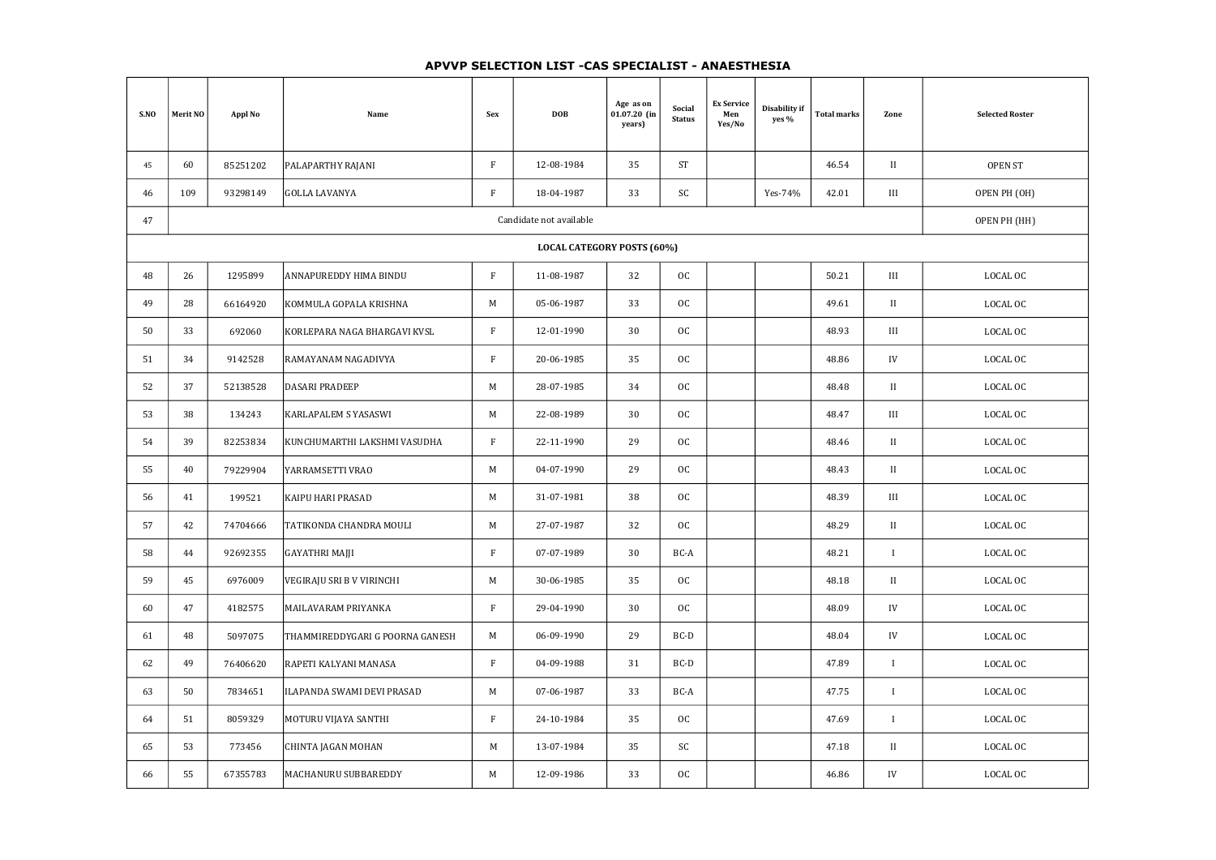| S.NO | <b>Merit NO</b> | Appl No  | Name                             | Sex          | DOB                               | Age as on<br>01.07.20 (in<br>years) | Social<br><b>Status</b> | <b>Ex Service</b><br>Men<br>Yes/No | Disability if<br>yes % | <b>Total marks</b> | Zone         | <b>Selected Roster</b> |
|------|-----------------|----------|----------------------------------|--------------|-----------------------------------|-------------------------------------|-------------------------|------------------------------------|------------------------|--------------------|--------------|------------------------|
| 45   | 60              | 85251202 | PALAPARTHY RAJANI                | $\mathbf{F}$ | 12-08-1984                        | 35                                  | <b>ST</b>               |                                    |                        | 46.54              | $\mathbf{I}$ | <b>OPEN ST</b>         |
| 46   | 109             | 93298149 | <b>GOLLA LAVANYA</b>             | $\mathbf{F}$ | 18-04-1987                        | 33                                  | SC                      |                                    | Yes-74%                | 42.01              | $\rm III$    | OPEN PH (OH)           |
| 47   |                 |          |                                  |              | Candidate not available           |                                     |                         |                                    |                        |                    |              | OPEN PH (HH)           |
|      |                 |          |                                  |              | <b>LOCAL CATEGORY POSTS (60%)</b> |                                     |                         |                                    |                        |                    |              |                        |
| 48   | 26              | 1295899  | ANNAPUREDDY HIMA BINDU           | $\mathbf{F}$ | 11-08-1987                        | 32                                  | OC                      |                                    |                        | 50.21              | III          | LOCAL OC               |
| 49   | 28              | 66164920 | KOMMULA GOPALA KRISHNA           | M            | 05-06-1987                        | 33                                  | OC                      |                                    |                        | 49.61              | $\mathbf{I}$ | LOCAL OC               |
| 50   | 33              | 692060   | KORLEPARA NAGA BHARGAVI KVSL     | $\mathbf{F}$ | 12-01-1990                        | 30                                  | OC                      |                                    |                        | 48.93              | III          | LOCAL OC               |
| 51   | 34              | 9142528  | RAMAYANAM NAGADIVYA              | $\mathbf{F}$ | 20-06-1985                        | 35                                  | OC                      |                                    |                        | 48.86              | IV           | LOCAL OC               |
| 52   | 37              | 52138528 | DASARI PRADEEP                   | M            | 28-07-1985                        | 34                                  | OC                      |                                    |                        | 48.48              | $\mathbf{I}$ | LOCAL OC               |
| 53   | 38              | 134243   | <b>KARLAPALEM S YASASWI</b>      | M            | 22-08-1989                        | 30                                  | OC                      |                                    |                        | 48.47              | III          | LOCAL OC               |
| 54   | 39              | 82253834 | KUNCHUMARTHI LAKSHMI VASUDHA     | $\mathbf{F}$ | 22-11-1990                        | 29                                  | OC                      |                                    |                        | 48.46              | $\mathbf{I}$ | LOCAL OC               |
| 55   | 40              | 79229904 | YARRAMSETTI VRAO                 | M            | 04-07-1990                        | 29                                  | OC                      |                                    |                        | 48.43              | $\mathbf{I}$ | LOCAL OC               |
| 56   | 41              | 199521   | KAIPU HARI PRASAD                | M            | 31-07-1981                        | 38                                  | OC                      |                                    |                        | 48.39              | III          | LOCAL OC               |
| 57   | 42              | 74704666 | TATIKONDA CHANDRA MOULI          | M            | 27-07-1987                        | 32                                  | OC                      |                                    |                        | 48.29              | $\mathbf{I}$ | LOCAL OC               |
| 58   | 44              | 92692355 | <b>GAYATHRI MAJJI</b>            | $\mathbf{F}$ | 07-07-1989                        | 30                                  | BC-A                    |                                    |                        | 48.21              |              | LOCAL OC               |
| 59   | 45              | 6976009  | <b>VEGIRAJU SRI B V VIRINCHI</b> | M            | 30-06-1985                        | 35                                  | OC                      |                                    |                        | 48.18              | $\rm II$     | LOCAL OC               |
| 60   | 47              | 4182575  | MAILAVARAM PRIYANKA              | $\mathbf{F}$ | 29-04-1990                        | 30                                  | OC                      |                                    |                        | 48.09              | IV           | LOCAL OC               |
| 61   | 48              | 5097075  | THAMMIREDDYGARI G POORNA GANESH  | M            | 06-09-1990                        | 29                                  | BC-D                    |                                    |                        | 48.04              | IV           | LOCAL OC               |
| 62   | 49              | 76406620 | RAPETI KALYANI MANASA            | $\mathbf{F}$ | 04-09-1988                        | 31                                  | BC-D                    |                                    |                        | 47.89              | $\mathbf{I}$ | LOCAL OC               |
| 63   | 50              | 7834651  | ILAPANDA SWAMI DEVI PRASAD       | M            | 07-06-1987                        | 33                                  | BC-A                    |                                    |                        | 47.75              | $\mathbf{I}$ | LOCAL OC               |
| 64   | 51              | 8059329  | MOTURU VIJAYA SANTHI             | $\mathbf{F}$ | 24-10-1984                        | 35                                  | OC                      |                                    |                        | 47.69              | $\mathbf{I}$ | LOCAL OC               |
| 65   | 53              | 773456   | CHINTA JAGAN MOHAN               | $M_{\odot}$  | 13-07-1984                        | 35                                  | SC                      |                                    |                        | 47.18              | $\mathbf{I}$ | LOCAL OC               |
| 66   | 55              | 67355783 | MACHANURU SUBBAREDDY             | M            | 12-09-1986                        | 33                                  | OC                      |                                    |                        | 46.86              | IV           | LOCAL OC               |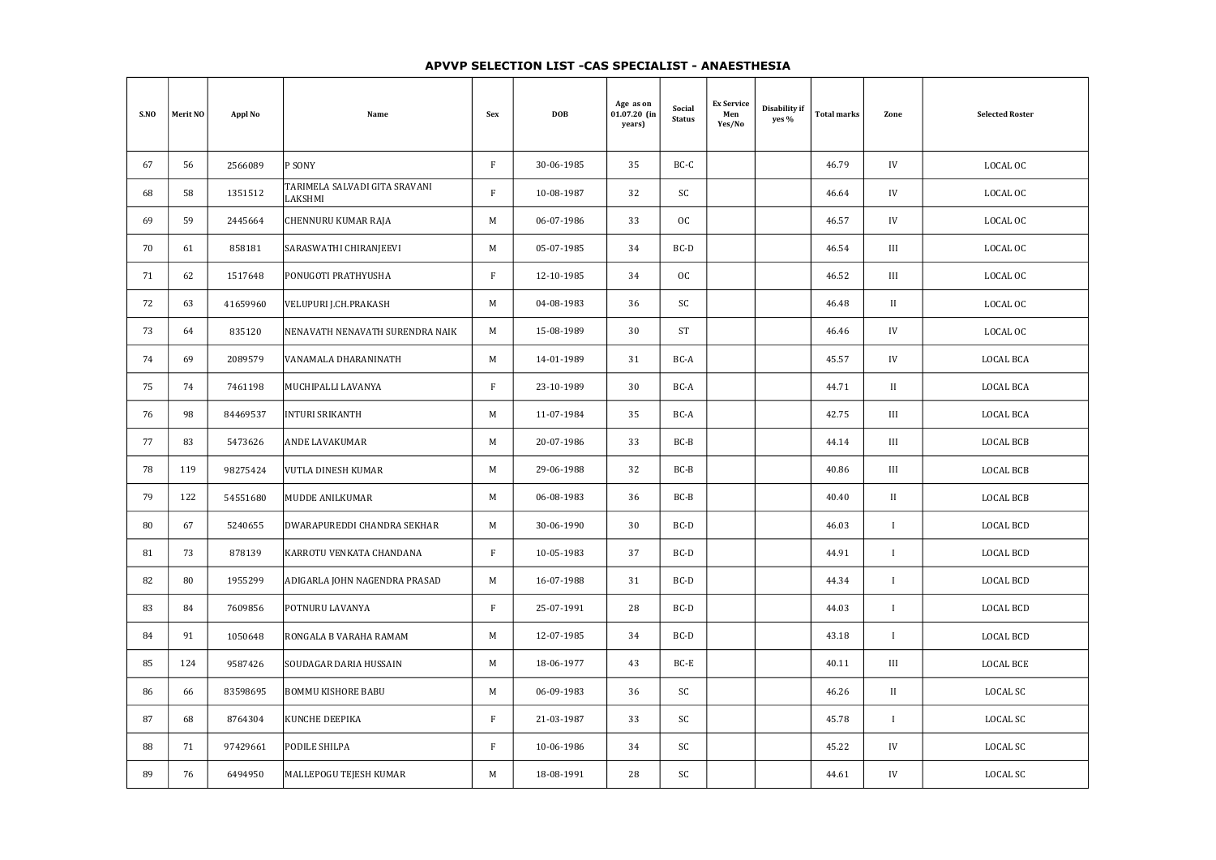| S.NO | <b>Merit NO</b> | Appl No  | Name                                     | <b>Sex</b> | <b>DOB</b> | Age as on<br>01.07.20 (in<br>years) | Social<br><b>Status</b> | <b>Ex Service</b><br>Men<br>Yes/No | Disability if<br>yes % | <b>Total marks</b> | Zone         | <b>Selected Roster</b> |
|------|-----------------|----------|------------------------------------------|------------|------------|-------------------------------------|-------------------------|------------------------------------|------------------------|--------------------|--------------|------------------------|
| 67   | 56              | 2566089  | P SONY                                   | F          | 30-06-1985 | 35                                  | BC-C                    |                                    |                        | 46.79              | IV           | LOCAL OC               |
| 68   | 58              | 1351512  | TARIMELA SALVADI GITA SRAVANI<br>LAKSHMI | F          | 10-08-1987 | 32                                  | SC                      |                                    |                        | 46.64              | IV           | LOCAL OC               |
| 69   | 59              | 2445664  | CHENNURU KUMAR RAJA                      | M          | 06-07-1986 | 33                                  | OC                      |                                    |                        | 46.57              | IV           | LOCAL OC               |
| 70   | 61              | 858181   | SARASWATHI CHIRANJEEVI                   | M          | 05-07-1985 | 34                                  | BC-D                    |                                    |                        | 46.54              | III          | LOCAL OC               |
| 71   | 62              | 1517648  | PONUGOTI PRATHYUSHA                      | $\rm F$    | 12-10-1985 | 34                                  | OC                      |                                    |                        | 46.52              | III          | LOCAL OC               |
| 72   | 63              | 41659960 | VELUPURI J.CH.PRAKASH                    | M          | 04-08-1983 | 36                                  | SC                      |                                    |                        | 46.48              | $\mathbf{I}$ | LOCAL OC               |
| 73   | 64              | 835120   | NENAVATH NENAVATH SURENDRA NAIK          | M          | 15-08-1989 | 30                                  | <b>ST</b>               |                                    |                        | 46.46              | IV           | LOCAL OC               |
| 74   | 69              | 2089579  | VANAMALA DHARANINATH                     | M          | 14-01-1989 | 31                                  | BC-A                    |                                    |                        | 45.57              | IV           | <b>LOCAL BCA</b>       |
| 75   | 74              | 7461198  | MUCHIPALLI LAVANYA                       | F          | 23-10-1989 | 30                                  | BC-A                    |                                    |                        | 44.71              | $\rm II$     | <b>LOCAL BCA</b>       |
| 76   | 98              | 84469537 | <b>INTURI SRIKANTH</b>                   | M          | 11-07-1984 | 35                                  | BC-A                    |                                    |                        | 42.75              | III          | <b>LOCAL BCA</b>       |
| 77   | 83              | 5473626  | ANDE LAVAKUMAR                           | M          | 20-07-1986 | 33                                  | $BC-B$                  |                                    |                        | 44.14              | III          | <b>LOCAL BCB</b>       |
| 78   | 119             | 98275424 | <b>VUTLA DINESH KUMAR</b>                | M          | 29-06-1988 | 32                                  | $BC-B$                  |                                    |                        | 40.86              | III          | <b>LOCAL BCB</b>       |
| 79   | 122             | 54551680 | MUDDE ANILKUMAR                          | M          | 06-08-1983 | 36                                  | $BC-B$                  |                                    |                        | 40.40              | $\rm II$     | <b>LOCAL BCB</b>       |
| 80   | 67              | 5240655  | DWARAPUREDDI CHANDRA SEKHAR              | M          | 30-06-1990 | 30                                  | BC-D                    |                                    |                        | 46.03              | I            | <b>LOCAL BCD</b>       |
| 81   | 73              | 878139   | KARROTU VENKATA CHANDANA                 | F          | 10-05-1983 | 37                                  | BC-D                    |                                    |                        | 44.91              | $\mathbf{I}$ | <b>LOCAL BCD</b>       |
| 82   | 80              | 1955299  | ADIGARLA JOHN NAGENDRA PRASAD            | M          | 16-07-1988 | 31                                  | BC-D                    |                                    |                        | 44.34              | $\mathbf{I}$ | <b>LOCAL BCD</b>       |
| 83   | 84              | 7609856  | POTNURU LAVANYA                          | F          | 25-07-1991 | 28                                  | BC-D                    |                                    |                        | 44.03              | I            | LOCAL BCD              |
| 84   | 91              | 1050648  | RONGALA B VARAHA RAMAM                   | M          | 12-07-1985 | 34                                  | BC-D                    |                                    |                        | 43.18              | $\mathbf{I}$ | <b>LOCAL BCD</b>       |
| 85   | 124             | 9587426  | SOUDAGAR DARIA HUSSAIN                   | M          | 18-06-1977 | 43                                  | BC-E                    |                                    |                        | 40.11              | III          | LOCAL BCE              |
| 86   | 66              | 83598695 | <b>BOMMU KISHORE BABU</b>                | M          | 06-09-1983 | 36                                  | SC                      |                                    |                        | 46.26              | $\rm II$     | LOCAL SC               |
| 87   | 68              | 8764304  | KUNCHE DEEPIKA                           | F          | 21-03-1987 | 33                                  | SC                      |                                    |                        | 45.78              | I            | LOCAL SC               |
| 88   | 71              | 97429661 | PODILE SHILPA                            | F          | 10-06-1986 | 34                                  | SC                      |                                    |                        | 45.22              | IV           | LOCAL SC               |
| 89   | 76              | 6494950  | MALLEPOGU TEJESH KUMAR                   | M          | 18-08-1991 | 28                                  | SC                      |                                    |                        | 44.61              | IV           | LOCAL SC               |

| <b>Selected Roster</b> |
|------------------------|
| LOCAL OC               |
| LOCAL OC               |
| LOCAL OC               |
| LOCAL OC               |
| LOCAL OC               |
| LOCAL OC               |
| LOCAL OC               |
| <b>LOCAL BCA</b>       |
| <b>LOCAL BCA</b>       |
| <b>LOCAL BCA</b>       |
| <b>LOCAL BCB</b>       |
| <b>LOCAL BCB</b>       |
| <b>LOCAL BCB</b>       |
| <b>LOCAL BCD</b>       |
| <b>LOCAL BCD</b>       |
| <b>LOCAL BCD</b>       |
| <b>LOCAL BCD</b>       |
| <b>LOCAL BCD</b>       |
| <b>LOCAL BCE</b>       |
| <b>LOCAL SC</b>        |
| LOCAL SC               |
| <b>LOCAL SC</b>        |
| LOCAL SC               |